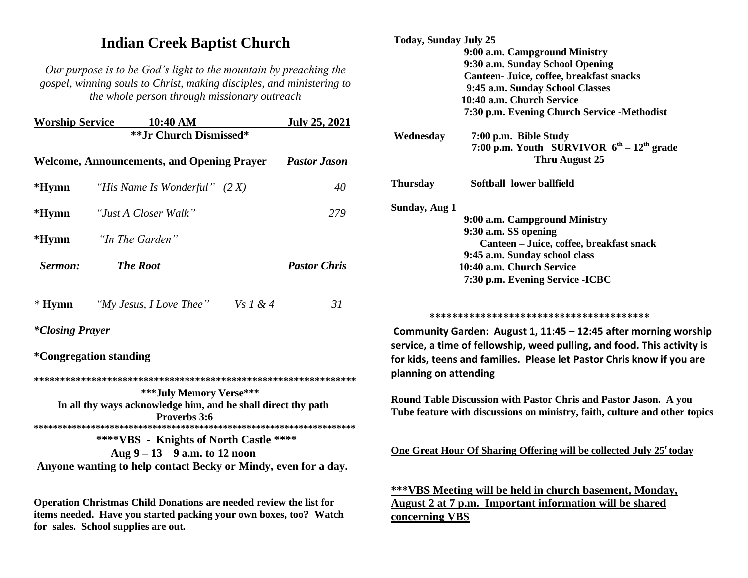# **Indian Creek Baptist Church**

*Our purpose is to be God's light to the mountain by preaching the gospel, winning souls to Christ, making disciples, and ministering to the whole person through missionary outreach*

| <b>Worship Service</b>                                                                                          | 10:40 AM                                                                                                                                   |                | <b>July 25, 2021</b> |                                                                                   | $1.50 \mu$                            |
|-----------------------------------------------------------------------------------------------------------------|--------------------------------------------------------------------------------------------------------------------------------------------|----------------|----------------------|-----------------------------------------------------------------------------------|---------------------------------------|
|                                                                                                                 | ** Jr Church Dismissed*                                                                                                                    |                |                      | Wednesday                                                                         | $7:00 \text{ p}$<br>7:00 <sub>1</sub> |
|                                                                                                                 | <b>Welcome, Announcements, and Opening Prayer</b>                                                                                          |                | <b>Pastor Jason</b>  |                                                                                   |                                       |
| $*Hymn$                                                                                                         | "His Name Is Wonderful" $(2 X)$                                                                                                            |                | 40                   | <b>Thursday</b>                                                                   | <b>Softb:</b>                         |
| $*Hymn$                                                                                                         | "Just A Closer Walk"                                                                                                                       |                | 279                  | <b>Sunday, Aug 1</b>                                                              | $9:00a$ .                             |
| $*Hymn$                                                                                                         | "In The Garden"                                                                                                                            |                |                      |                                                                                   | $9:30a$ .<br>Can<br>9:45 a.           |
| Sermon:                                                                                                         | <b>The Root</b>                                                                                                                            |                | <b>Pastor Chris</b>  |                                                                                   | 10:40 a.<br>7:30 p.r                  |
| $*$ Hymn                                                                                                        | "My Jesus, I Love Thee"                                                                                                                    | $Vs \, I \& 4$ | 31                   |                                                                                   | ************                          |
| <i>*Closing Prayer</i><br><i>*</i> Congregation standing                                                        |                                                                                                                                            |                |                      | <b>Community Garden: /</b><br>service, a time of fello<br>for kids, teens and fam |                                       |
|                                                                                                                 |                                                                                                                                            |                |                      | planning on attending                                                             |                                       |
| ***July Memory Verse***<br>In all thy ways acknowledge him, and he shall direct thy path<br><b>Proverbs</b> 3:6 |                                                                                                                                            |                |                      | <b>Round Table Discussion</b><br><b>Tube feature with discu</b>                   |                                       |
|                                                                                                                 | ****VBS - Knights of North Castle ****<br>Aug $9 - 13$ 9 a.m. to 12 noon<br>Anyone wanting to help contact Becky or Mindy, even for a day. |                |                      | <b>One Great Hour Of Sha</b>                                                      |                                       |
|                                                                                                                 |                                                                                                                                            |                |                      | ***VBS Meeting will                                                               |                                       |

**Operation Christmas Child Donations are needed review the list for items needed. Have you started packing your own boxes, too? Watch for sales. School supplies are out.**

| <b>Today, Sunday July 25</b> |                                                                                                                                            |
|------------------------------|--------------------------------------------------------------------------------------------------------------------------------------------|
|                              | 9:00 a.m. Campground Ministry                                                                                                              |
|                              | 9:30 a.m. Sunday School Opening                                                                                                            |
|                              | Canteen- Juice, coffee, breakfast snacks                                                                                                   |
|                              | 9:45 a.m. Sunday School Classes                                                                                                            |
|                              | 10:40 a.m. Church Service                                                                                                                  |
|                              | 7:30 p.m. Evening Church Service -Methodist                                                                                                |
| Wednesday                    | 7:00 p.m. Bible Study                                                                                                                      |
|                              | 7:00 p.m. Youth SURVIVOR $6^{th} - 12^{th}$ grade                                                                                          |
|                              | Thru August 25                                                                                                                             |
| <b>Thursday</b>              | Softball lower ballfield                                                                                                                   |
| Sunday, Aug 1                |                                                                                                                                            |
|                              | 9:00 a.m. Campground Ministry                                                                                                              |
|                              | 9:30 a.m. SS opening                                                                                                                       |
|                              | Canteen - Juice, coffee, breakfast snack                                                                                                   |
|                              | 9:45 a.m. Sunday school class                                                                                                              |
|                              | 10:40 a.m. Church Service                                                                                                                  |
|                              | 7:30 p.m. Evening Service - ICBC                                                                                                           |
|                              |                                                                                                                                            |
|                              |                                                                                                                                            |
|                              | Community Garden: August 1, 11:45 - 12:45 after morning worship<br>service, a time of fellowship, weed pulling, and food. This activity is |
|                              | for kids, teens and families. Please let Pastor Chris know if you are                                                                      |

**Round Table Discussion with Pastor Chris and Pastor Jason. A you Tube feature with discussions on ministry, faith, culture and other topics**

**One Great Hour Of Sharing Offering will be collected July 25<sup>t</sup> today**

**\*\*\*VBS Meeting will be held in church basement, Monday, August 2 at 7 p.m. Important information will be shared concerning VBS**